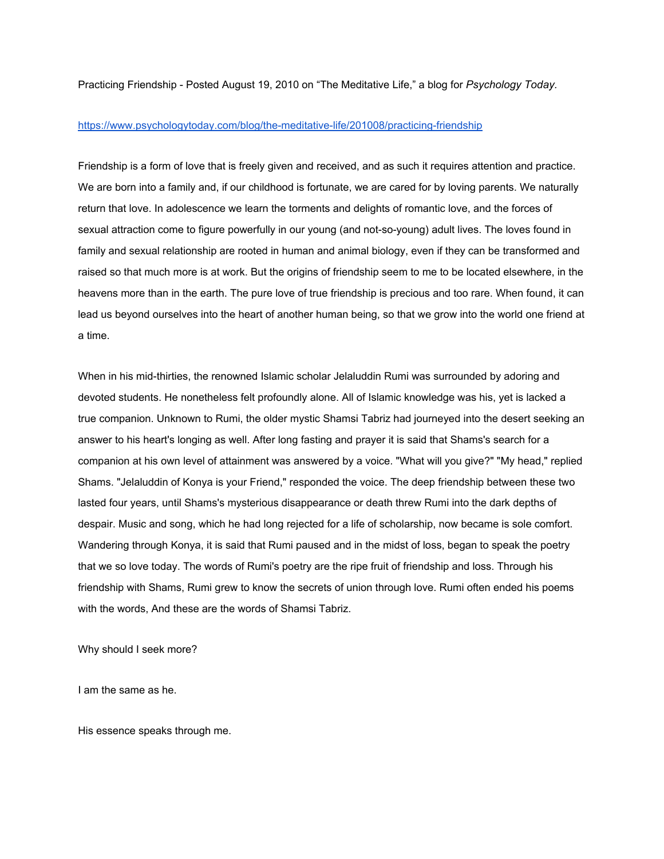Practicing Friendship - Posted August 19, 2010 on "The Meditative Life," a blog for *Psychology Today.* 

## https://www.psychologytoday.com/blog/the-meditative-life/201008/practicing-friendship

Friendship is a form of love that is freely given and received, and as such it requires attention and practice. We are born into a family and, if our [childhood](https://www.psychologytoday.com/basics/child-development) is fortunate, we are cared for by loving [parents.](https://www.psychologytoday.com/basics/parenting) We naturally return that love. In [adolescence](https://www.psychologytoday.com/basics/adolescence) we learn the torments and delights of [romantic](https://www.psychologytoday.com/basics/relationships) love, and the forces of sexual attraction come to figure powerfully in our young (and not-so-young) adult lives. The loves found in family and sexual relationship are rooted in human and animal biology, even if they can be transformed and raised so that much more is at work. But the origins of friendship seem to me to be located elsewhere, in the heavens more than in the earth. The pure love of true friendship is precious and too rare. When found, it can lead us beyond ourselves into the heart of another human being, so that we grow into the world one friend at a time.

When in his mid-thirties, the renowned Islamic scholar Jelaluddin Rumi was surrounded by adoring and devoted students. He nonetheless felt profoundly alone. All of Islamic knowledge was his, yet is lacked a true companion. Unknown to Rumi, the older mystic Shamsi Tabriz had journeyed into the desert seeking an answer to his heart's longing as well. After long fasting and prayer it is said that Shams's search for a companion at his own level of attainment was answered by a voice. "What will you give?" "My head," replied Shams. "Jelaluddin of Konya is your Friend," responded the voice. The deep friendship between these two lasted four years, until Shams's mysterious disappearance or death threw Rumi into the dark depths of despair. Music and song, which he had long rejected for a life of scholarship, now became is sole comfort. Wandering through Konya, it is said that Rumi paused and in the midst of loss, began to speak the poetry that we so love today. The words of Rumi's poetry are the ripe fruit of friendship and loss. Through his friendship with Shams, Rumi grew to know the secrets of union through love. Rumi often ended his poems with the words, And these are the words of Shamsi Tabriz.

Why should I seek more?

I am the same as he.

His essence speaks through me.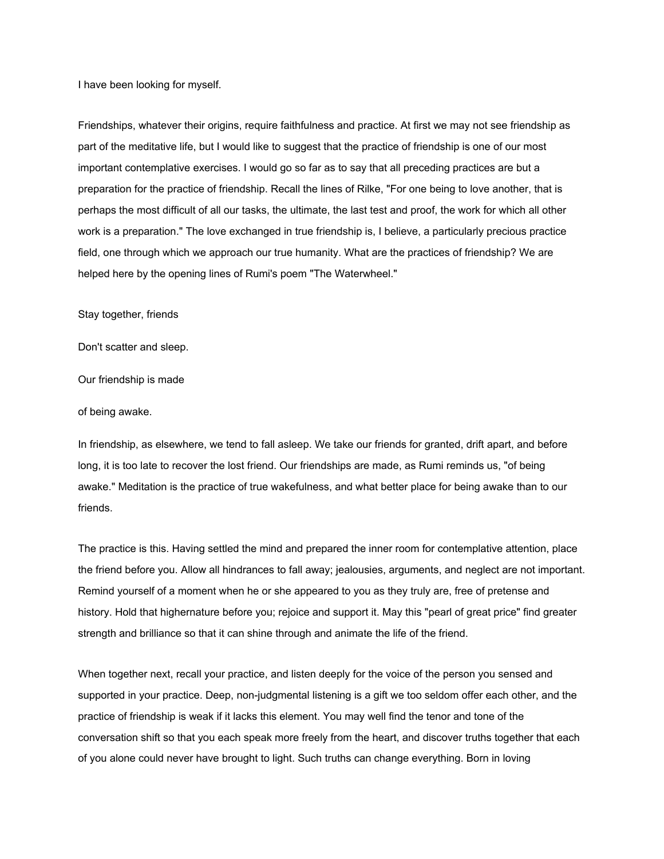I have been looking for myself.

Friendships, whatever their origins, require faithfulness and practice. At first we may not see friendship as part of the meditative life, but I would like to suggest that the practice of friendship is one of our most important contemplative exercises. I would go so far as to say that all preceding practices are but a preparation for the practice of friendship. Recall the lines of Rilke, "For one being to love another, that is perhaps the most difficult of all our tasks, the ultimate, the last test and proof, the work for which all other work is a preparation." The love exchanged in true friendship is, I believe, a particularly precious practice field, one through which we approach our true humanity. What are the practices of friendship? We are helped here by the opening lines of Rumi's poem "The Waterwheel."

Stay together, friends

Don't scatter and [sleep.](https://www.psychologytoday.com/basics/sleep)

Our friendship is made

of being awake.

In friendship, as elsewhere, we tend to fall asleep. We take our friends for granted, drift apart, and before long, it is too late to recover the lost friend. Our friendships are made, as Rumi reminds us, "of being awake." [Meditation](https://www.psychologytoday.com/basics/meditation) is the practice of true wakefulness, and what better place for being awake than to our friends.

The practice is this. Having settled the mind and prepared the inner room for contemplative attention, place the friend before you. Allow all hindrances to fall away; jealousies, arguments, and neglect are not important. Remind yourself of a moment when he or she appeared to you as they truly are, free of pretense and history. Hold that higher[nature](https://www.psychologytoday.com/basics/environment) before you; rejoice and support it. May this "pearl of great price" find greater strength and brilliance so that it can shine through and animate the life of the friend.

When together next, recall your practice, and listen deeply for the voice of the person you sensed and supported in your practice. Deep, non-judgmental listening is a gift we too seldom offer each other, and the practice of friendship is weak if it lacks this element. You may well find the tenor and tone of the conversation shift so that you each speak more freely from the heart, and discover truths together that each of you alone could never have brought to light. Such truths can change everything. Born in loving